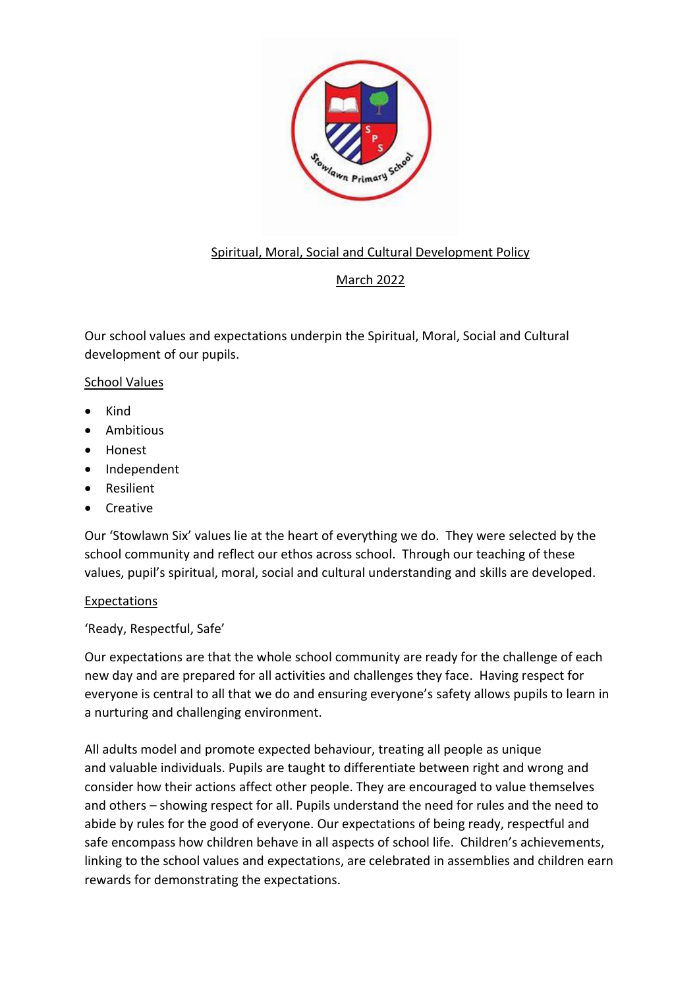

# Spiritual, Moral, Social and Cultural Development Policy

# March 2022

Our school values and expectations underpin the Spiritual, Moral, Social and Cultural development of our pupils.

## School Values

- Kind
- Ambitious
- Honest
- Independent
- Resilient
- **Creative**

Our 'Stowlawn Six' values lie at the heart of everything we do. They were selected by the school community and reflect our ethos across school. Through our teaching of these values, pupil's spiritual, moral, social and cultural understanding and skills are developed.

## Expectations

'Ready, Respectful, Safe'

Our expectations are that the whole school community are ready for the challenge of each new day and are prepared for all activities and challenges they face. Having respect for everyone is central to all that we do and ensuring everyone's safety allows pupils to learn in a nurturing and challenging environment.

All adults model and promote expected behaviour, treating all people as unique and valuable individuals. Pupils are taught to differentiate between right and wrong and consider how their actions affect other people. They are encouraged to value themselves and others – showing respect for all. Pupils understand the need for rules and the need to abide by rules for the good of everyone. Our expectations of being ready, respectful and safe encompass how children behave in all aspects of school life. Children's achievements, linking to the school values and expectations, are celebrated in assemblies and children earn rewards for demonstrating the expectations.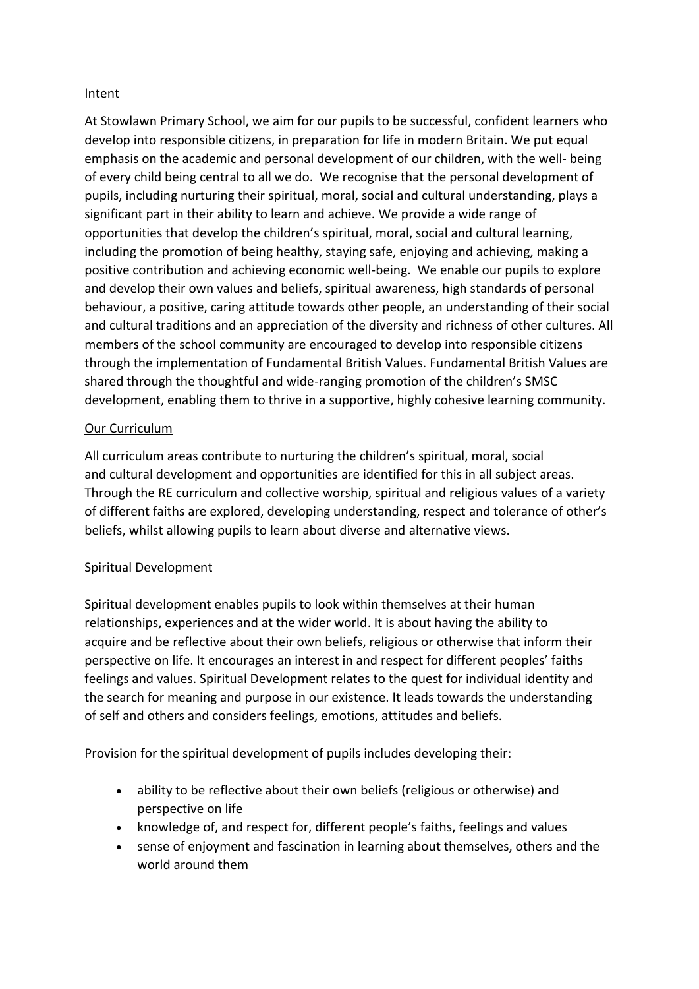## Intent

At Stowlawn Primary School, we aim for our pupils to be successful, confident learners who develop into responsible citizens, in preparation for life in modern Britain. We put equal emphasis on the academic and personal development of our children, with the well- being of every child being central to all we do. We recognise that the personal development of pupils, including nurturing their spiritual, moral, social and cultural understanding, plays a significant part in their ability to learn and achieve. We provide a wide range of opportunities that develop the children's spiritual, moral, social and cultural learning, including the promotion of being healthy, staying safe, enjoying and achieving, making a positive contribution and achieving economic well-being. We enable our pupils to explore and develop their own values and beliefs, spiritual awareness, high standards of personal behaviour, a positive, caring attitude towards other people, an understanding of their social and cultural traditions and an appreciation of the diversity and richness of other cultures. All members of the school community are encouraged to develop into responsible citizens through the implementation of Fundamental British Values. Fundamental British Values are shared through the thoughtful and wide-ranging promotion of the children's SMSC development, enabling them to thrive in a supportive, highly cohesive learning community.

#### Our Curriculum

All curriculum areas contribute to nurturing the children's spiritual, moral, social and cultural development and opportunities are identified for this in all subject areas. Through the RE curriculum and collective worship, spiritual and religious values of a variety of different faiths are explored, developing understanding, respect and tolerance of other's beliefs, whilst allowing pupils to learn about diverse and alternative views.

#### Spiritual Development

Spiritual development enables pupils to look within themselves at their human relationships, experiences and at the wider world. It is about having the ability to acquire and be reflective about their own beliefs, religious or otherwise that inform their perspective on life. It encourages an interest in and respect for different peoples' faiths feelings and values. Spiritual Development relates to the quest for individual identity and the search for meaning and purpose in our existence. It leads towards the understanding of self and others and considers feelings, emotions, attitudes and beliefs.

Provision for the spiritual development of pupils includes developing their:

- ability to be reflective about their own beliefs (religious or otherwise) and perspective on life
- knowledge of, and respect for, different people's faiths, feelings and values
- sense of enjoyment and fascination in learning about themselves, others and the world around them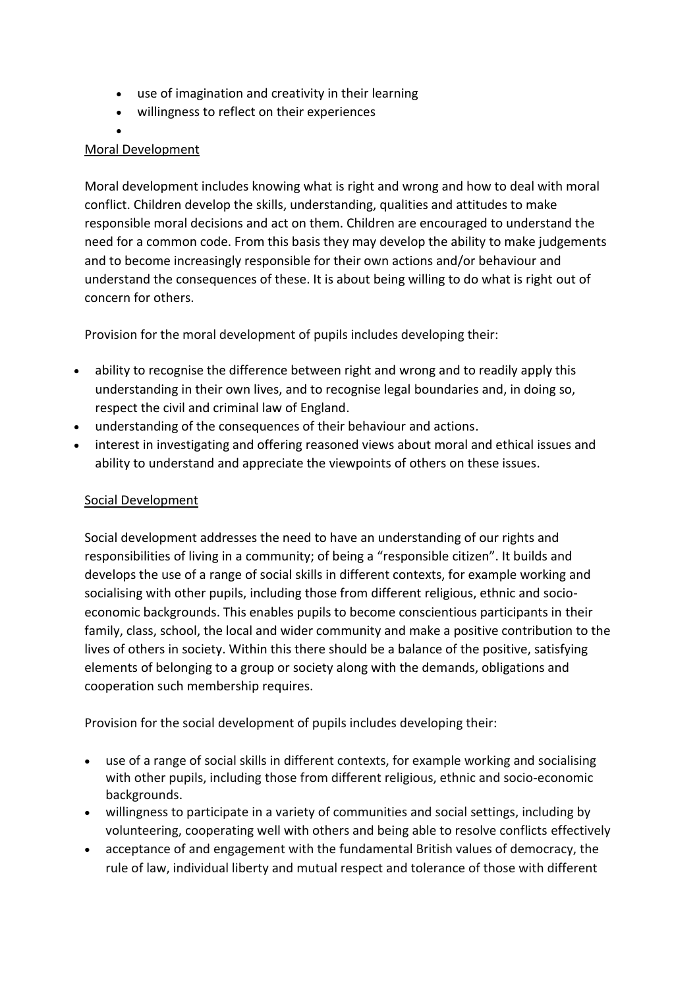- use of imagination and creativity in their learning
- willingness to reflect on their experiences
- •

## Moral Development

Moral development includes knowing what is right and wrong and how to deal with moral conflict. Children develop the skills, understanding, qualities and attitudes to make responsible moral decisions and act on them. Children are encouraged to understand the need for a common code. From this basis they may develop the ability to make judgements and to become increasingly responsible for their own actions and/or behaviour and understand the consequences of these. It is about being willing to do what is right out of concern for others.

Provision for the moral development of pupils includes developing their:

- ability to recognise the difference between right and wrong and to readily apply this understanding in their own lives, and to recognise legal boundaries and, in doing so, respect the civil and criminal law of England.
- understanding of the consequences of their behaviour and actions.
- interest in investigating and offering reasoned views about moral and ethical issues and ability to understand and appreciate the viewpoints of others on these issues.

## Social Development

Social development addresses the need to have an understanding of our rights and responsibilities of living in a community; of being a "responsible citizen". It builds and develops the use of a range of social skills in different contexts, for example working and socialising with other pupils, including those from different religious, ethnic and socioeconomic backgrounds. This enables pupils to become conscientious participants in their family, class, school, the local and wider community and make a positive contribution to the lives of others in society. Within this there should be a balance of the positive, satisfying elements of belonging to a group or society along with the demands, obligations and cooperation such membership requires.

Provision for the social development of pupils includes developing their:

- use of a range of social skills in different contexts, for example working and socialising with other pupils, including those from different religious, ethnic and socio-economic backgrounds.
- willingness to participate in a variety of communities and social settings, including by volunteering, cooperating well with others and being able to resolve conflicts effectively
- acceptance of and engagement with the fundamental British values of democracy, the rule of law, individual liberty and mutual respect and tolerance of those with different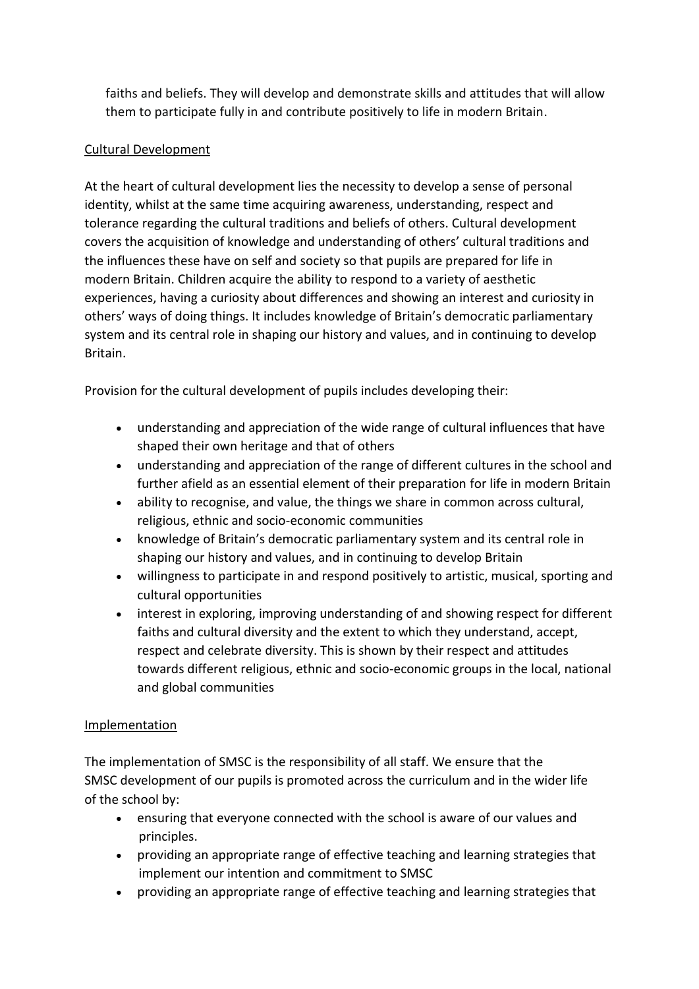faiths and beliefs. They will develop and demonstrate skills and attitudes that will allow them to participate fully in and contribute positively to life in modern Britain.

## Cultural Development

At the heart of cultural development lies the necessity to develop a sense of personal identity, whilst at the same time acquiring awareness, understanding, respect and tolerance regarding the cultural traditions and beliefs of others. Cultural development covers the acquisition of knowledge and understanding of others' cultural traditions and the influences these have on self and society so that pupils are prepared for life in modern Britain. Children acquire the ability to respond to a variety of aesthetic experiences, having a curiosity about differences and showing an interest and curiosity in others' ways of doing things. It includes knowledge of Britain's democratic parliamentary system and its central role in shaping our history and values, and in continuing to develop Britain.

Provision for the cultural development of pupils includes developing their:

- understanding and appreciation of the wide range of cultural influences that have shaped their own heritage and that of others
- understanding and appreciation of the range of different cultures in the school and further afield as an essential element of their preparation for life in modern Britain
- ability to recognise, and value, the things we share in common across cultural, religious, ethnic and socio-economic communities
- knowledge of Britain's democratic parliamentary system and its central role in shaping our history and values, and in continuing to develop Britain
- willingness to participate in and respond positively to artistic, musical, sporting and cultural opportunities
- interest in exploring, improving understanding of and showing respect for different faiths and cultural diversity and the extent to which they understand, accept, respect and celebrate diversity. This is shown by their respect and attitudes towards different religious, ethnic and socio-economic groups in the local, national and global communities

## Implementation

The implementation of SMSC is the responsibility of all staff. We ensure that the SMSC development of our pupils is promoted across the curriculum and in the wider life of the school by:

- ensuring that everyone connected with the school is aware of our values and principles.
- providing an appropriate range of effective teaching and learning strategies that implement our intention and commitment to SMSC
- providing an appropriate range of effective teaching and learning strategies that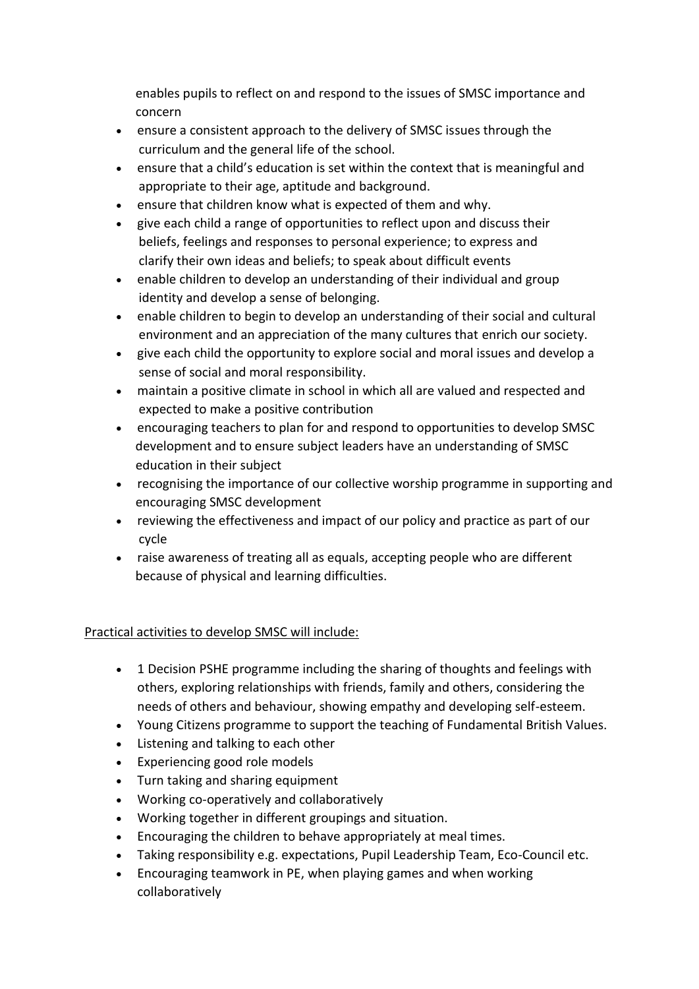enables pupils to reflect on and respond to the issues of SMSC importance and concern

- ensure a consistent approach to the delivery of SMSC issues through the curriculum and the general life of the school.
- ensure that a child's education is set within the context that is meaningful and appropriate to their age, aptitude and background.
- ensure that children know what is expected of them and why.
- give each child a range of opportunities to reflect upon and discuss their beliefs, feelings and responses to personal experience; to express and clarify their own ideas and beliefs; to speak about difficult events
- enable children to develop an understanding of their individual and group identity and develop a sense of belonging.
- enable children to begin to develop an understanding of their social and cultural environment and an appreciation of the many cultures that enrich our society.
- give each child the opportunity to explore social and moral issues and develop a sense of social and moral responsibility.
- maintain a positive climate in school in which all are valued and respected and expected to make a positive contribution
- encouraging teachers to plan for and respond to opportunities to develop SMSC development and to ensure subject leaders have an understanding of SMSC education in their subject
- recognising the importance of our collective worship programme in supporting and encouraging SMSC development
- reviewing the effectiveness and impact of our policy and practice as part of our cycle
- raise awareness of treating all as equals, accepting people who are different because of physical and learning difficulties.

# Practical activities to develop SMSC will include:

- 1 Decision PSHE programme including the sharing of thoughts and feelings with others, exploring relationships with friends, family and others, considering the needs of others and behaviour, showing empathy and developing self-esteem.
- Young Citizens programme to support the teaching of Fundamental British Values.
- Listening and talking to each other
- Experiencing good role models
- Turn taking and sharing equipment
- Working co-operatively and collaboratively
- Working together in different groupings and situation.
- Encouraging the children to behave appropriately at meal times.
- Taking responsibility e.g. expectations, Pupil Leadership Team, Eco-Council etc.
- Encouraging teamwork in PE, when playing games and when working collaboratively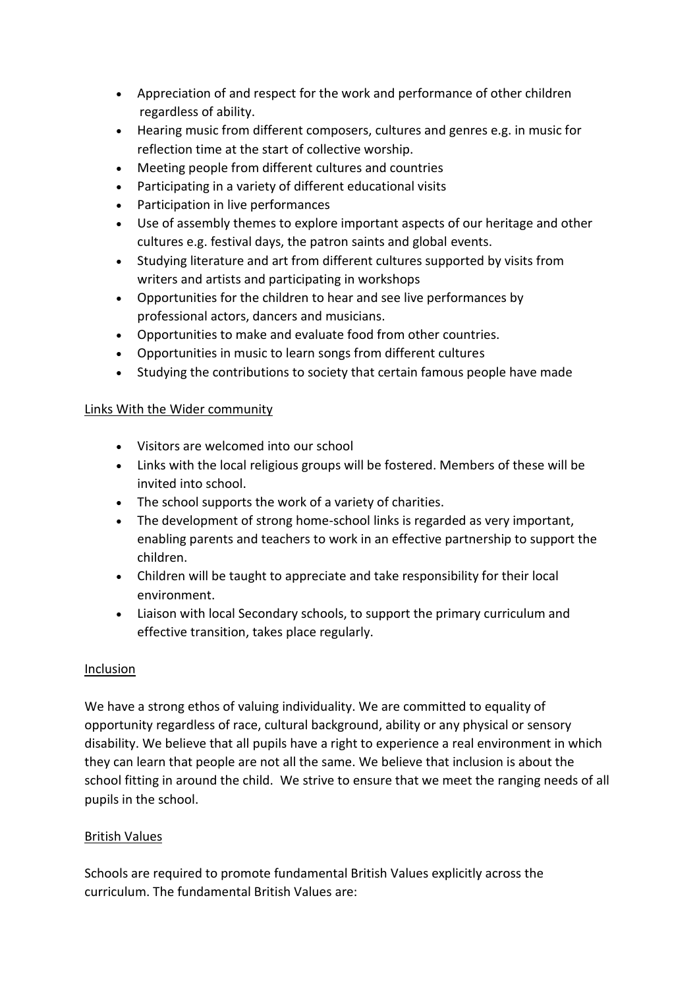- Appreciation of and respect for the work and performance of other children regardless of ability.
- Hearing music from different composers, cultures and genres e.g. in music for reflection time at the start of collective worship.
- Meeting people from different cultures and countries
- Participating in a variety of different educational visits
- Participation in live performances
- Use of assembly themes to explore important aspects of our heritage and other cultures e.g. festival days, the patron saints and global events.
- Studying literature and art from different cultures supported by visits from writers and artists and participating in workshops
- Opportunities for the children to hear and see live performances by professional actors, dancers and musicians.
- Opportunities to make and evaluate food from other countries.
- Opportunities in music to learn songs from different cultures
- Studying the contributions to society that certain famous people have made

## Links With the Wider community

- Visitors are welcomed into our school
- Links with the local religious groups will be fostered. Members of these will be invited into school.
- The school supports the work of a variety of charities.
- The development of strong home-school links is regarded as very important, enabling parents and teachers to work in an effective partnership to support the children.
- Children will be taught to appreciate and take responsibility for their local environment.
- Liaison with local Secondary schools, to support the primary curriculum and effective transition, takes place regularly.

## **Inclusion**

We have a strong ethos of valuing individuality. We are committed to equality of opportunity regardless of race, cultural background, ability or any physical or sensory disability. We believe that all pupils have a right to experience a real environment in which they can learn that people are not all the same. We believe that inclusion is about the school fitting in around the child. We strive to ensure that we meet the ranging needs of all pupils in the school.

# British Values

Schools are required to promote fundamental British Values explicitly across the curriculum. The fundamental British Values are: